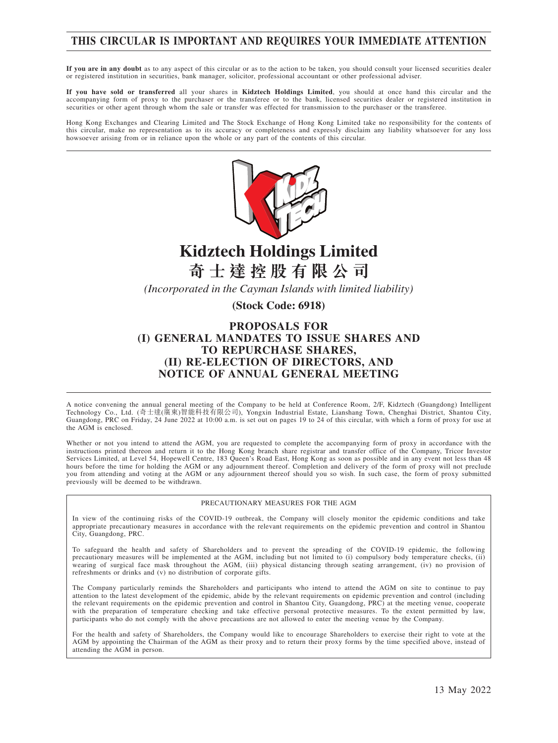# **THIS CIRCULAR IS IMPORTANT AND REQUIRES YOUR IMMEDIATE ATTENTION**

**If you are in any doubt** as to any aspect of this circular or as to the action to be taken, you should consult your licensed securities dealer or registered institution in securities, bank manager, solicitor, professional accountant or other professional adviser.

**If you have sold or transferred** all your shares in **Kidztech Holdings Limited**, you should at once hand this circular and the accompanying form of proxy to the purchaser or the transferee or to the bank, licensed securities dealer or registered institution in securities or other agent through whom the sale or transfer was effected for transmission to the purchaser or the transferee.

Hong Kong Exchanges and Clearing Limited and The Stock Exchange of Hong Kong Limited take no responsibility for the contents of this circular, make no representation as to its accuracy or completeness and expressly disclaim any liability whatsoever for any loss howsoever arising from or in reliance upon the whole or any part of the contents of this circular.



# **Kidztech Holdings Limited 奇 士 達 控 股 有 限 公 司**

*(Incorporated in the Cayman Islands with limited liability)*

**(Stock Code: 6918)**

### **PROPOSALS FOR (I) GENERAL MANDATES TO ISSUE SHARES AND TO REPURCHASE SHARES, (II) RE-ELECTION OF DIRECTORS, AND NOTICE OF ANNUAL GENERAL MEETING**

A notice convening the annual general meeting of the Company to be held at Conference Room, 2/F, Kidztech (Guangdong) Intelligent Technology Co., Ltd. (奇士達(廣東)智能科技有限公司), Yongxin Industrial Estate, Lianshang Town, Chenghai District, Shantou City, Guangdong, PRC on Friday, 24 June 2022 at 10:00 a.m. is set out on pages 19 to 24 of this circular, with which a form of proxy for use at the AGM is enclosed.

Whether or not you intend to attend the AGM, you are requested to complete the accompanying form of proxy in accordance with the instructions printed thereon and return it to the Hong Kong branch share registrar and transfer office of the Company, Tricor Investor Services Limited, at Level 54, Hopewell Centre, 183 Queen's Road East, Hong Kong as soon as possible and in any event not less than 48 hours before the time for holding the AGM or any adjournment thereof. Completion and delivery of the form of proxy will not preclude you from attending and voting at the AGM or any adjournment thereof should you so wish. In such case, the form of proxy submitted previously will be deemed to be withdrawn.

#### PRECAUTIONARY MEASURES FOR THE AGM

In view of the continuing risks of the COVID-19 outbreak, the Company will closely monitor the epidemic conditions and take appropriate precautionary measures in accordance with the relevant requirements on the epidemic prevention and control in Shantou City, Guangdong, PRC.

To safeguard the health and safety of Shareholders and to prevent the spreading of the COVID-19 epidemic, the following precautionary measures will be implemented at the AGM, including but not limited to (i) compulsory body temperature checks, (ii) wearing of surgical face mask throughout the AGM, (iii) physical distancing through seating arrangement, (iv) no provision of refreshments or drinks and (v) no distribution of corporate gifts.

The Company particularly reminds the Shareholders and participants who intend to attend the AGM on site to continue to pay attention to the latest development of the epidemic, abide by the relevant requirements on epidemic prevention and control (including the relevant requirements on the epidemic prevention and control in Shantou City, Guangdong, PRC) at the meeting venue, cooperate with the preparation of temperature checking and take effective personal protective measures. To the extent permitted by law, participants who do not comply with the above precautions are not allowed to enter the meeting venue by the Company.

For the health and safety of Shareholders, the Company would like to encourage Shareholders to exercise their right to vote at the AGM by appointing the Chairman of the AGM as their proxy and to return their proxy forms by the time specified above, instead of attending the AGM in person.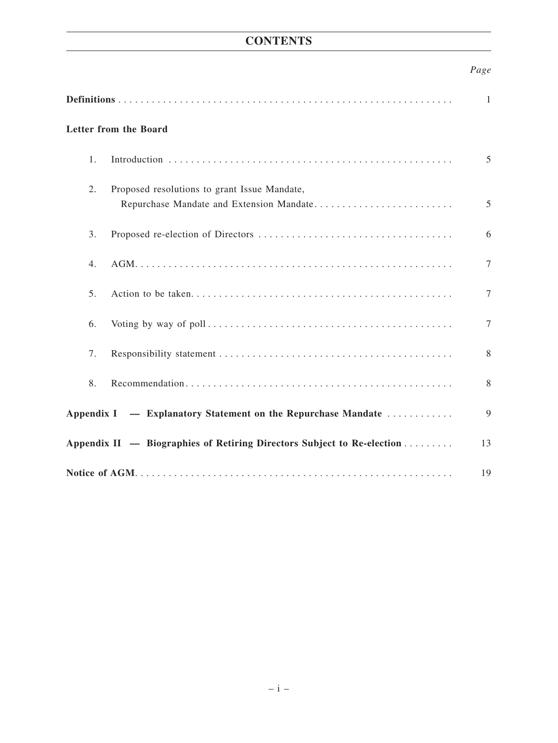# **CONTENTS**

# *Page*

| Letter from the Board                                                  |                                                                                          |   |  |
|------------------------------------------------------------------------|------------------------------------------------------------------------------------------|---|--|
| 1 <sub>1</sub>                                                         |                                                                                          | 5 |  |
| 2.                                                                     | Proposed resolutions to grant Issue Mandate,<br>Repurchase Mandate and Extension Mandate | 5 |  |
| 3.                                                                     |                                                                                          | 6 |  |
| 4.                                                                     |                                                                                          | 7 |  |
| 5 <sub>1</sub>                                                         |                                                                                          | 7 |  |
| 6.                                                                     |                                                                                          | 7 |  |
| 7.                                                                     |                                                                                          | 8 |  |
| 8.                                                                     |                                                                                          | 8 |  |
| Appendix I — Explanatory Statement on the Repurchase Mandate           |                                                                                          |   |  |
| Appendix II — Biographies of Retiring Directors Subject to Re-election |                                                                                          |   |  |
|                                                                        |                                                                                          |   |  |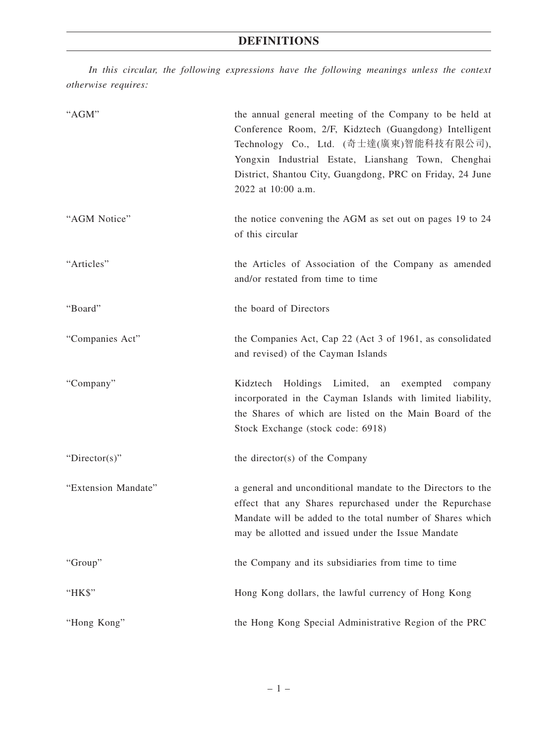*In this circular, the following expressions have the following meanings unless the context otherwise requires:*

| "AGM"               | the annual general meeting of the Company to be held at<br>Conference Room, 2/F, Kidztech (Guangdong) Intelligent<br>Technology Co., Ltd. (奇士達(廣東)智能科技有限公司),<br>Yongxin Industrial Estate, Lianshang Town, Chenghai<br>District, Shantou City, Guangdong, PRC on Friday, 24 June<br>2022 at 10:00 a.m. |
|---------------------|--------------------------------------------------------------------------------------------------------------------------------------------------------------------------------------------------------------------------------------------------------------------------------------------------------|
| "AGM Notice"        | the notice convening the AGM as set out on pages 19 to 24<br>of this circular                                                                                                                                                                                                                          |
| "Articles"          | the Articles of Association of the Company as amended<br>and/or restated from time to time                                                                                                                                                                                                             |
| "Board"             | the board of Directors                                                                                                                                                                                                                                                                                 |
| "Companies Act"     | the Companies Act, Cap 22 (Act 3 of 1961, as consolidated<br>and revised) of the Cayman Islands                                                                                                                                                                                                        |
| "Company"           | Holdings Limited,<br>Kidztech<br>an exempted<br>company<br>incorporated in the Cayman Islands with limited liability,<br>the Shares of which are listed on the Main Board of the<br>Stock Exchange (stock code: 6918)                                                                                  |
| "Director(s)"       | the director(s) of the Company                                                                                                                                                                                                                                                                         |
| "Extension Mandate" | a general and unconditional mandate to the Directors to the<br>effect that any Shares repurchased under the Repurchase<br>Mandate will be added to the total number of Shares which<br>may be allotted and issued under the Issue Mandate                                                              |
| "Group"             | the Company and its subsidiaries from time to time                                                                                                                                                                                                                                                     |
| "HK\$"              | Hong Kong dollars, the lawful currency of Hong Kong                                                                                                                                                                                                                                                    |
| "Hong Kong"         | the Hong Kong Special Administrative Region of the PRC                                                                                                                                                                                                                                                 |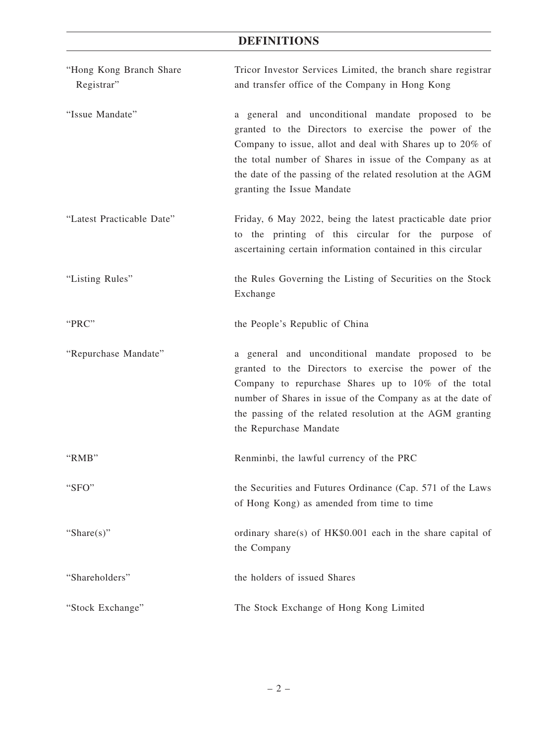# **DEFINITIONS**

| "Hong Kong Branch Share<br>Registrar" | Tricor Investor Services Limited, the branch share registrar<br>and transfer office of the Company in Hong Kong                                                                                                                                                                                                                    |  |  |
|---------------------------------------|------------------------------------------------------------------------------------------------------------------------------------------------------------------------------------------------------------------------------------------------------------------------------------------------------------------------------------|--|--|
| "Issue Mandate"                       | a general and unconditional mandate proposed to be<br>granted to the Directors to exercise the power of the<br>Company to issue, allot and deal with Shares up to 20% of<br>the total number of Shares in issue of the Company as at<br>the date of the passing of the related resolution at the AGM<br>granting the Issue Mandate |  |  |
| "Latest Practicable Date"             | Friday, 6 May 2022, being the latest practicable date prior<br>to the printing of this circular for the purpose of<br>ascertaining certain information contained in this circular                                                                                                                                                  |  |  |
| "Listing Rules"                       | the Rules Governing the Listing of Securities on the Stock<br>Exchange                                                                                                                                                                                                                                                             |  |  |
| "PRC"                                 | the People's Republic of China                                                                                                                                                                                                                                                                                                     |  |  |
| "Repurchase Mandate"                  | a general and unconditional mandate proposed to be<br>granted to the Directors to exercise the power of the<br>Company to repurchase Shares up to 10% of the total<br>number of Shares in issue of the Company as at the date of<br>the passing of the related resolution at the AGM granting<br>the Repurchase Mandate            |  |  |
| "RMB"                                 | Renminbi, the lawful currency of the PRC                                                                                                                                                                                                                                                                                           |  |  |
| "SFO"                                 | the Securities and Futures Ordinance (Cap. 571 of the Laws<br>of Hong Kong) as amended from time to time                                                                                                                                                                                                                           |  |  |
| "Share $(s)$ "                        | ordinary share(s) of HK\$0.001 each in the share capital of<br>the Company                                                                                                                                                                                                                                                         |  |  |
| "Shareholders"                        | the holders of issued Shares                                                                                                                                                                                                                                                                                                       |  |  |
| "Stock Exchange"                      | The Stock Exchange of Hong Kong Limited                                                                                                                                                                                                                                                                                            |  |  |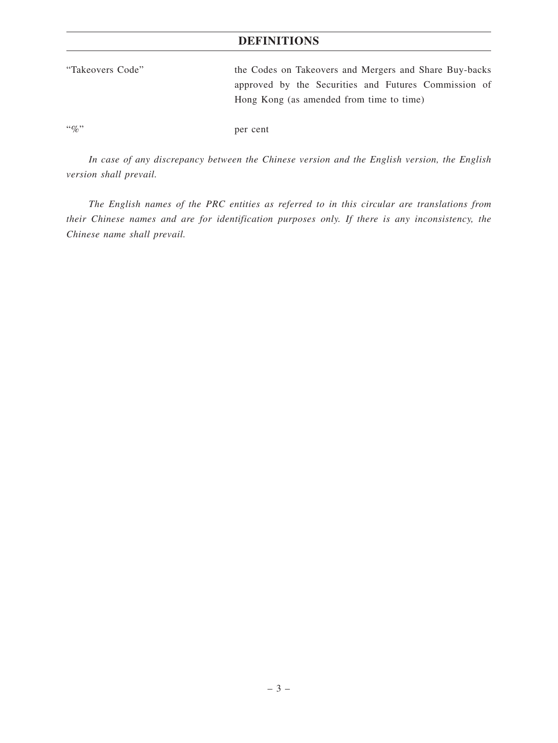# **DEFINITIONS**

| "Takeovers Code" | the Codes on Takeovers and Mergers and Share Buy-backs |
|------------------|--------------------------------------------------------|
|                  | approved by the Securities and Futures Commission of   |
|                  | Hong Kong (as amended from time to time)               |
|                  |                                                        |

"%" per cent

*In case of any discrepancy between the Chinese version and the English version, the English version shall prevail.*

*The English names of the PRC entities as referred to in this circular are translations from their Chinese names and are for identification purposes only. If there is any inconsistency, the Chinese name shall prevail.*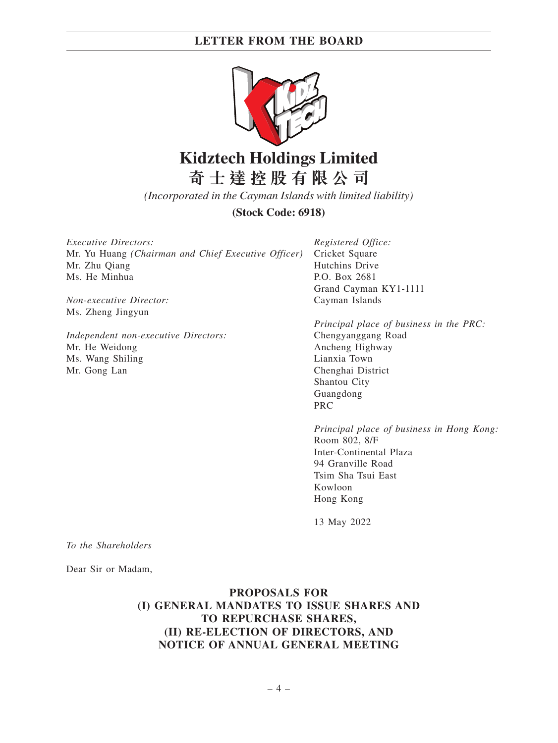

# **Kidztech Holdings Limited 奇 士 達 控 股 有 限 公 司**

*(Incorporated in the Cayman Islands with limited liability)*

**(Stock Code: 6918)**

*Executive Directors:* Mr. Yu Huang *(Chairman and Chief Executive Officer)* Mr. Zhu Qiang Ms. He Minhua

*Non-executive Director:* Ms. Zheng Jingyun

*Independent non-executive Directors:* Mr. He Weidong Ms. Wang Shiling Mr. Gong Lan

*Registered Office:* Cricket Square Hutchins Drive P.O. Box 2681 Grand Cayman KY1-1111 Cayman Islands

*Principal place of business in the PRC:* Chengyanggang Road Ancheng Highway Lianxia Town Chenghai District Shantou City Guangdong PRC

*Principal place of business in Hong Kong:* Room 802, 8/F Inter-Continental Plaza 94 Granville Road Tsim Sha Tsui East Kowloon Hong Kong

13 May 2022

*To the Shareholders*

Dear Sir or Madam,

**PROPOSALS FOR (I) GENERAL MANDATES TO ISSUE SHARES AND TO REPURCHASE SHARES, (II) RE-ELECTION OF DIRECTORS, AND NOTICE OF ANNUAL GENERAL MEETING**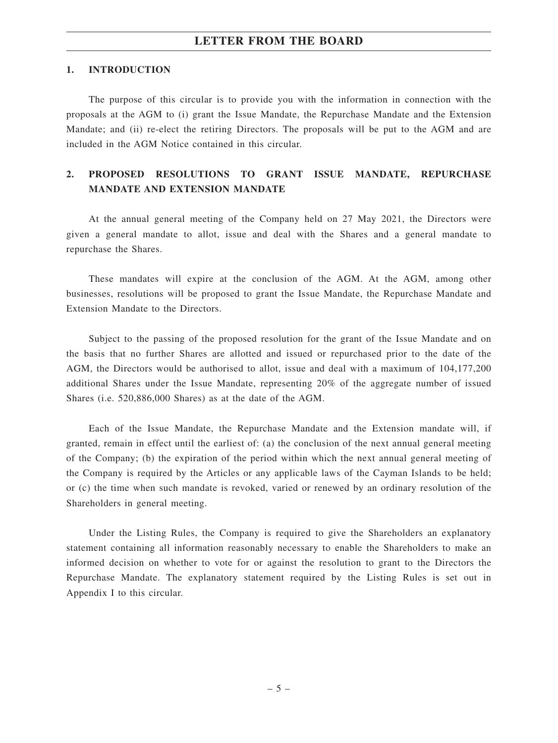#### **1. INTRODUCTION**

The purpose of this circular is to provide you with the information in connection with the proposals at the AGM to (i) grant the Issue Mandate, the Repurchase Mandate and the Extension Mandate; and (ii) re-elect the retiring Directors. The proposals will be put to the AGM and are included in the AGM Notice contained in this circular.

# **2. PROPOSED RESOLUTIONS TO GRANT ISSUE MANDATE, REPURCHASE MANDATE AND EXTENSION MANDATE**

At the annual general meeting of the Company held on 27 May 2021, the Directors were given a general mandate to allot, issue and deal with the Shares and a general mandate to repurchase the Shares.

These mandates will expire at the conclusion of the AGM. At the AGM, among other businesses, resolutions will be proposed to grant the Issue Mandate, the Repurchase Mandate and Extension Mandate to the Directors.

Subject to the passing of the proposed resolution for the grant of the Issue Mandate and on the basis that no further Shares are allotted and issued or repurchased prior to the date of the AGM, the Directors would be authorised to allot, issue and deal with a maximum of 104,177,200 additional Shares under the Issue Mandate, representing 20% of the aggregate number of issued Shares (i.e. 520,886,000 Shares) as at the date of the AGM.

Each of the Issue Mandate, the Repurchase Mandate and the Extension mandate will, if granted, remain in effect until the earliest of: (a) the conclusion of the next annual general meeting of the Company; (b) the expiration of the period within which the next annual general meeting of the Company is required by the Articles or any applicable laws of the Cayman Islands to be held; or (c) the time when such mandate is revoked, varied or renewed by an ordinary resolution of the Shareholders in general meeting.

Under the Listing Rules, the Company is required to give the Shareholders an explanatory statement containing all information reasonably necessary to enable the Shareholders to make an informed decision on whether to vote for or against the resolution to grant to the Directors the Repurchase Mandate. The explanatory statement required by the Listing Rules is set out in Appendix I to this circular.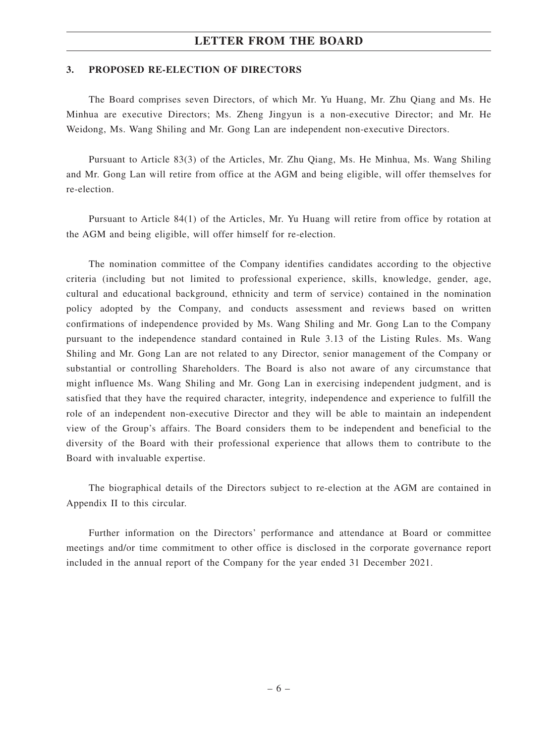#### **3. PROPOSED RE-ELECTION OF DIRECTORS**

The Board comprises seven Directors, of which Mr. Yu Huang, Mr. Zhu Qiang and Ms. He Minhua are executive Directors; Ms. Zheng Jingyun is a non-executive Director; and Mr. He Weidong, Ms. Wang Shiling and Mr. Gong Lan are independent non-executive Directors.

Pursuant to Article 83(3) of the Articles, Mr. Zhu Qiang, Ms. He Minhua, Ms. Wang Shiling and Mr. Gong Lan will retire from office at the AGM and being eligible, will offer themselves for re-election.

Pursuant to Article 84(1) of the Articles, Mr. Yu Huang will retire from office by rotation at the AGM and being eligible, will offer himself for re-election.

The nomination committee of the Company identifies candidates according to the objective criteria (including but not limited to professional experience, skills, knowledge, gender, age, cultural and educational background, ethnicity and term of service) contained in the nomination policy adopted by the Company, and conducts assessment and reviews based on written confirmations of independence provided by Ms. Wang Shiling and Mr. Gong Lan to the Company pursuant to the independence standard contained in Rule 3.13 of the Listing Rules. Ms. Wang Shiling and Mr. Gong Lan are not related to any Director, senior management of the Company or substantial or controlling Shareholders. The Board is also not aware of any circumstance that might influence Ms. Wang Shiling and Mr. Gong Lan in exercising independent judgment, and is satisfied that they have the required character, integrity, independence and experience to fulfill the role of an independent non-executive Director and they will be able to maintain an independent view of the Group's affairs. The Board considers them to be independent and beneficial to the diversity of the Board with their professional experience that allows them to contribute to the Board with invaluable expertise.

The biographical details of the Directors subject to re-election at the AGM are contained in Appendix II to this circular.

Further information on the Directors' performance and attendance at Board or committee meetings and/or time commitment to other office is disclosed in the corporate governance report included in the annual report of the Company for the year ended 31 December 2021.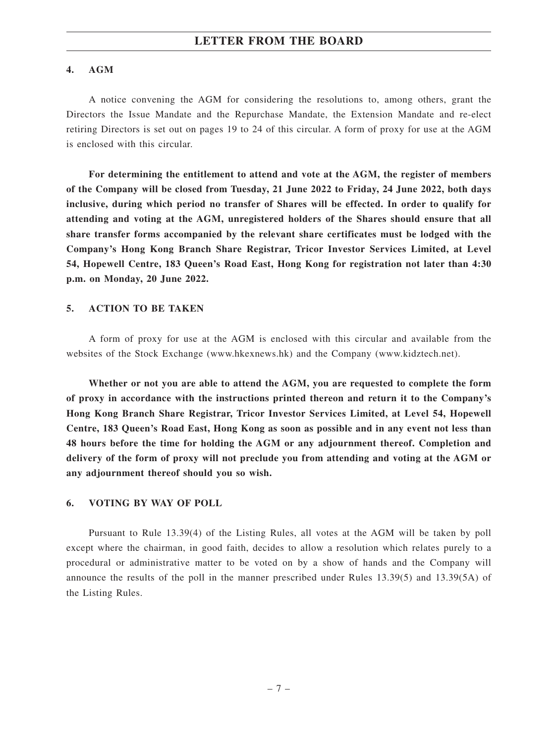#### **4. AGM**

A notice convening the AGM for considering the resolutions to, among others, grant the Directors the Issue Mandate and the Repurchase Mandate, the Extension Mandate and re-elect retiring Directors is set out on pages 19 to 24 of this circular. A form of proxy for use at the AGM is enclosed with this circular.

**For determining the entitlement to attend and vote at the AGM, the register of members of the Company will be closed from Tuesday, 21 June 2022 to Friday, 24 June 2022, both days inclusive, during which period no transfer of Shares will be effected. In order to qualify for attending and voting at the AGM, unregistered holders of the Shares should ensure that all share transfer forms accompanied by the relevant share certificates must be lodged with the Company's Hong Kong Branch Share Registrar, Tricor Investor Services Limited, at Level 54, Hopewell Centre, 183 Queen's Road East, Hong Kong for registration not later than 4:30 p.m. on Monday, 20 June 2022.**

#### **5. ACTION TO BE TAKEN**

A form of proxy for use at the AGM is enclosed with this circular and available from the websites of the Stock Exchange (www.hkexnews.hk) and the Company (www.kidztech.net).

**Whether or not you are able to attend the AGM, you are requested to complete the form of proxy in accordance with the instructions printed thereon and return it to the Company's Hong Kong Branch Share Registrar, Tricor Investor Services Limited, at Level 54, Hopewell Centre, 183 Queen's Road East, Hong Kong as soon as possible and in any event not less than 48 hours before the time for holding the AGM or any adjournment thereof. Completion and delivery of the form of proxy will not preclude you from attending and voting at the AGM or any adjournment thereof should you so wish.**

#### **6. VOTING BY WAY OF POLL**

Pursuant to Rule 13.39(4) of the Listing Rules, all votes at the AGM will be taken by poll except where the chairman, in good faith, decides to allow a resolution which relates purely to a procedural or administrative matter to be voted on by a show of hands and the Company will announce the results of the poll in the manner prescribed under Rules 13.39(5) and 13.39(5A) of the Listing Rules.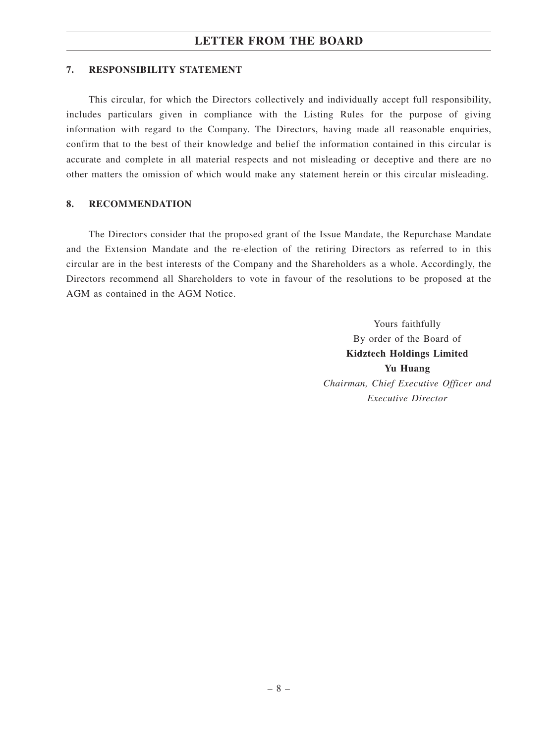#### **7. RESPONSIBILITY STATEMENT**

This circular, for which the Directors collectively and individually accept full responsibility, includes particulars given in compliance with the Listing Rules for the purpose of giving information with regard to the Company. The Directors, having made all reasonable enquiries, confirm that to the best of their knowledge and belief the information contained in this circular is accurate and complete in all material respects and not misleading or deceptive and there are no other matters the omission of which would make any statement herein or this circular misleading.

#### **8. RECOMMENDATION**

The Directors consider that the proposed grant of the Issue Mandate, the Repurchase Mandate and the Extension Mandate and the re-election of the retiring Directors as referred to in this circular are in the best interests of the Company and the Shareholders as a whole. Accordingly, the Directors recommend all Shareholders to vote in favour of the resolutions to be proposed at the AGM as contained in the AGM Notice.

> Yours faithfully By order of the Board of **Kidztech Holdings Limited Yu Huang** *Chairman, Chief Executive Officer and Executive Director*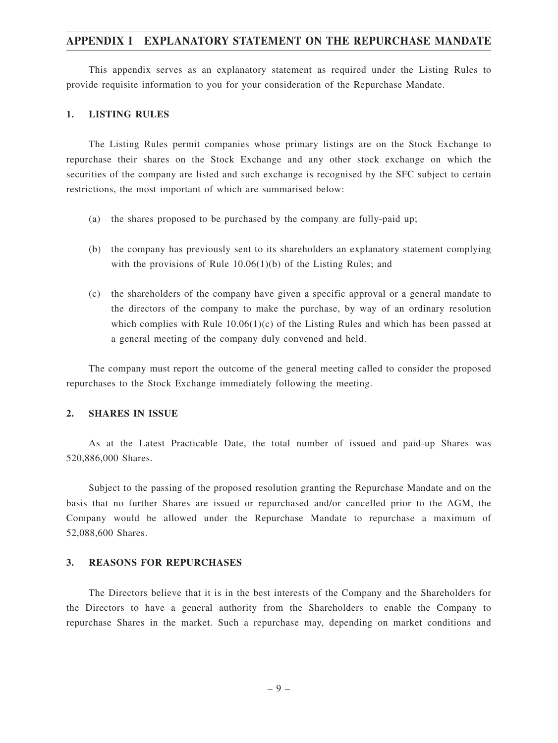This appendix serves as an explanatory statement as required under the Listing Rules to provide requisite information to you for your consideration of the Repurchase Mandate.

#### **1. LISTING RULES**

The Listing Rules permit companies whose primary listings are on the Stock Exchange to repurchase their shares on the Stock Exchange and any other stock exchange on which the securities of the company are listed and such exchange is recognised by the SFC subject to certain restrictions, the most important of which are summarised below:

- (a) the shares proposed to be purchased by the company are fully-paid up;
- (b) the company has previously sent to its shareholders an explanatory statement complying with the provisions of Rule 10.06(1)(b) of the Listing Rules; and
- (c) the shareholders of the company have given a specific approval or a general mandate to the directors of the company to make the purchase, by way of an ordinary resolution which complies with Rule  $10.06(1)(c)$  of the Listing Rules and which has been passed at a general meeting of the company duly convened and held.

The company must report the outcome of the general meeting called to consider the proposed repurchases to the Stock Exchange immediately following the meeting.

#### **2. SHARES IN ISSUE**

As at the Latest Practicable Date, the total number of issued and paid-up Shares was 520,886,000 Shares.

Subject to the passing of the proposed resolution granting the Repurchase Mandate and on the basis that no further Shares are issued or repurchased and/or cancelled prior to the AGM, the Company would be allowed under the Repurchase Mandate to repurchase a maximum of 52,088,600 Shares.

#### **3. REASONS FOR REPURCHASES**

The Directors believe that it is in the best interests of the Company and the Shareholders for the Directors to have a general authority from the Shareholders to enable the Company to repurchase Shares in the market. Such a repurchase may, depending on market conditions and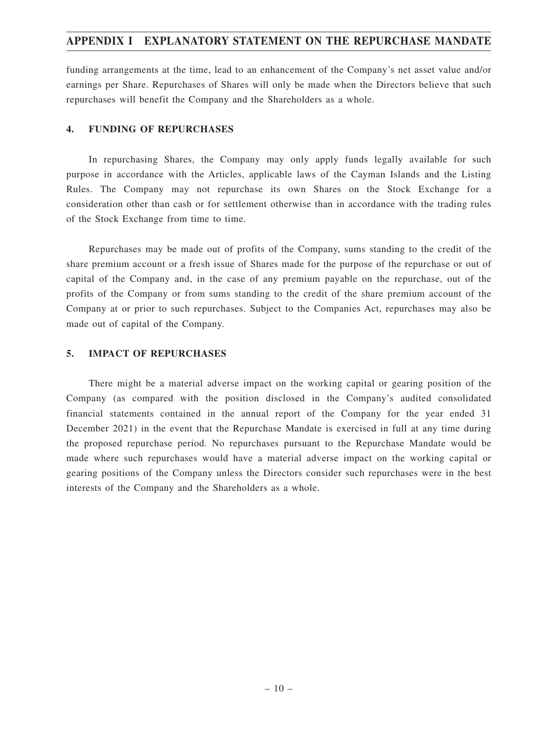funding arrangements at the time, lead to an enhancement of the Company's net asset value and/or earnings per Share. Repurchases of Shares will only be made when the Directors believe that such repurchases will benefit the Company and the Shareholders as a whole.

#### **4. FUNDING OF REPURCHASES**

In repurchasing Shares, the Company may only apply funds legally available for such purpose in accordance with the Articles, applicable laws of the Cayman Islands and the Listing Rules. The Company may not repurchase its own Shares on the Stock Exchange for a consideration other than cash or for settlement otherwise than in accordance with the trading rules of the Stock Exchange from time to time.

Repurchases may be made out of profits of the Company, sums standing to the credit of the share premium account or a fresh issue of Shares made for the purpose of the repurchase or out of capital of the Company and, in the case of any premium payable on the repurchase, out of the profits of the Company or from sums standing to the credit of the share premium account of the Company at or prior to such repurchases. Subject to the Companies Act, repurchases may also be made out of capital of the Company.

### **5. IMPACT OF REPURCHASES**

There might be a material adverse impact on the working capital or gearing position of the Company (as compared with the position disclosed in the Company's audited consolidated financial statements contained in the annual report of the Company for the year ended 31 December 2021) in the event that the Repurchase Mandate is exercised in full at any time during the proposed repurchase period. No repurchases pursuant to the Repurchase Mandate would be made where such repurchases would have a material adverse impact on the working capital or gearing positions of the Company unless the Directors consider such repurchases were in the best interests of the Company and the Shareholders as a whole.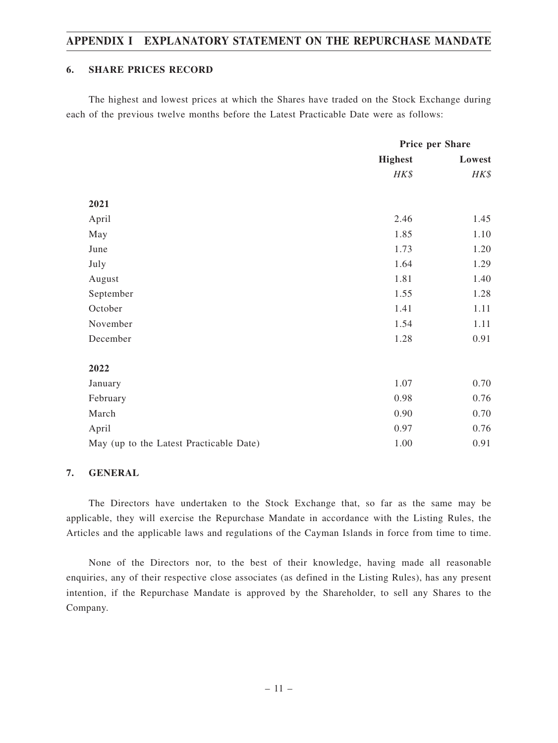### **6. SHARE PRICES RECORD**

The highest and lowest prices at which the Shares have traded on the Stock Exchange during each of the previous twelve months before the Latest Practicable Date were as follows:

|                                         |                | Price per Share |  |
|-----------------------------------------|----------------|-----------------|--|
|                                         | <b>Highest</b> | Lowest          |  |
|                                         | HK\$           | HK\$            |  |
| 2021                                    |                |                 |  |
| April                                   | 2.46           | 1.45            |  |
| May                                     | 1.85           | 1.10            |  |
| June                                    | 1.73           | 1.20            |  |
| July                                    | 1.64           | 1.29            |  |
| August                                  | 1.81           | 1.40            |  |
| September                               | 1.55           | 1.28            |  |
| October                                 | 1.41           | 1.11            |  |
| November                                | 1.54           | 1.11            |  |
| December                                | 1.28           | 0.91            |  |
| 2022                                    |                |                 |  |
| January                                 | 1.07           | 0.70            |  |
| February                                | 0.98           | 0.76            |  |
| March                                   | 0.90           | 0.70            |  |
| April                                   | 0.97           | 0.76            |  |
| May (up to the Latest Practicable Date) | 1.00           | 0.91            |  |

### **7. GENERAL**

The Directors have undertaken to the Stock Exchange that, so far as the same may be applicable, they will exercise the Repurchase Mandate in accordance with the Listing Rules, the Articles and the applicable laws and regulations of the Cayman Islands in force from time to time.

None of the Directors nor, to the best of their knowledge, having made all reasonable enquiries, any of their respective close associates (as defined in the Listing Rules), has any present intention, if the Repurchase Mandate is approved by the Shareholder, to sell any Shares to the Company.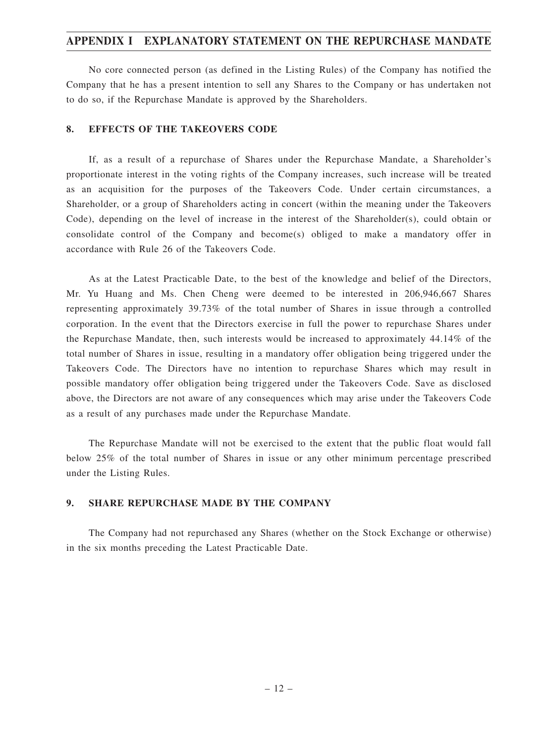No core connected person (as defined in the Listing Rules) of the Company has notified the Company that he has a present intention to sell any Shares to the Company or has undertaken not to do so, if the Repurchase Mandate is approved by the Shareholders.

#### **8. EFFECTS OF THE TAKEOVERS CODE**

If, as a result of a repurchase of Shares under the Repurchase Mandate, a Shareholder's proportionate interest in the voting rights of the Company increases, such increase will be treated as an acquisition for the purposes of the Takeovers Code. Under certain circumstances, a Shareholder, or a group of Shareholders acting in concert (within the meaning under the Takeovers Code), depending on the level of increase in the interest of the Shareholder(s), could obtain or consolidate control of the Company and become(s) obliged to make a mandatory offer in accordance with Rule 26 of the Takeovers Code.

As at the Latest Practicable Date, to the best of the knowledge and belief of the Directors, Mr. Yu Huang and Ms. Chen Cheng were deemed to be interested in 206,946,667 Shares representing approximately 39.73% of the total number of Shares in issue through a controlled corporation. In the event that the Directors exercise in full the power to repurchase Shares under the Repurchase Mandate, then, such interests would be increased to approximately 44.14% of the total number of Shares in issue, resulting in a mandatory offer obligation being triggered under the Takeovers Code. The Directors have no intention to repurchase Shares which may result in possible mandatory offer obligation being triggered under the Takeovers Code. Save as disclosed above, the Directors are not aware of any consequences which may arise under the Takeovers Code as a result of any purchases made under the Repurchase Mandate.

The Repurchase Mandate will not be exercised to the extent that the public float would fall below 25% of the total number of Shares in issue or any other minimum percentage prescribed under the Listing Rules.

#### **9. SHARE REPURCHASE MADE BY THE COMPANY**

The Company had not repurchased any Shares (whether on the Stock Exchange or otherwise) in the six months preceding the Latest Practicable Date.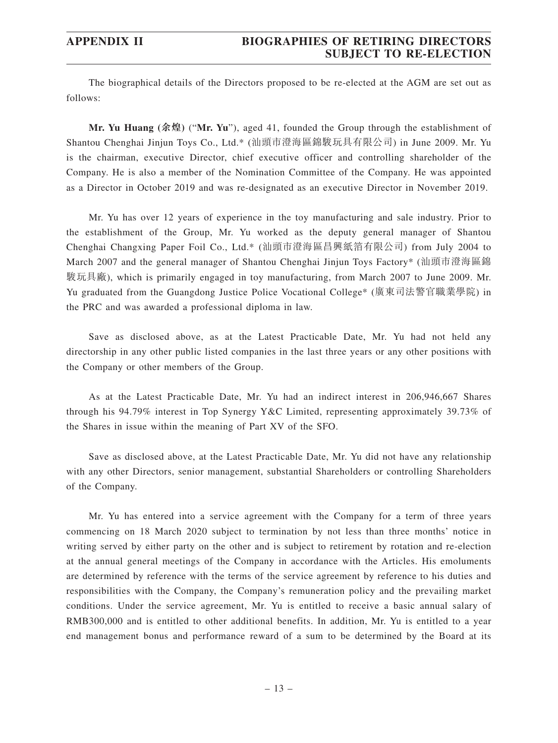The biographical details of the Directors proposed to be re-elected at the AGM are set out as follows:

**Mr. Yu Huang (余煌)** ("**Mr. Yu**"), aged 41, founded the Group through the establishment of Shantou Chenghai Jinjun Toys Co., Ltd.\* (汕頭市澄海區錦駿玩具有限公司) in June 2009. Mr. Yu is the chairman, executive Director, chief executive officer and controlling shareholder of the Company. He is also a member of the Nomination Committee of the Company. He was appointed as a Director in October 2019 and was re-designated as an executive Director in November 2019.

Mr. Yu has over 12 years of experience in the toy manufacturing and sale industry. Prior to the establishment of the Group, Mr. Yu worked as the deputy general manager of Shantou Chenghai Changxing Paper Foil Co., Ltd.\* (汕頭市澄海區昌興紙箔有限公司) from July 2004 to March 2007 and the general manager of Shantou Chenghai Jinjun Toys Factory\* (汕頭市澄海區錦 駿玩具廠), which is primarily engaged in toy manufacturing, from March 2007 to June 2009. Mr. Yu graduated from the Guangdong Justice Police Vocational College\* (廣東司法警官職業學院) in the PRC and was awarded a professional diploma in law.

Save as disclosed above, as at the Latest Practicable Date, Mr. Yu had not held any directorship in any other public listed companies in the last three years or any other positions with the Company or other members of the Group.

As at the Latest Practicable Date, Mr. Yu had an indirect interest in 206,946,667 Shares through his 94.79% interest in Top Synergy Y&C Limited, representing approximately 39.73% of the Shares in issue within the meaning of Part XV of the SFO.

Save as disclosed above, at the Latest Practicable Date, Mr. Yu did not have any relationship with any other Directors, senior management, substantial Shareholders or controlling Shareholders of the Company.

Mr. Yu has entered into a service agreement with the Company for a term of three years commencing on 18 March 2020 subject to termination by not less than three months' notice in writing served by either party on the other and is subject to retirement by rotation and re-election at the annual general meetings of the Company in accordance with the Articles. His emoluments are determined by reference with the terms of the service agreement by reference to his duties and responsibilities with the Company, the Company's remuneration policy and the prevailing market conditions. Under the service agreement, Mr. Yu is entitled to receive a basic annual salary of RMB300,000 and is entitled to other additional benefits. In addition, Mr. Yu is entitled to a year end management bonus and performance reward of a sum to be determined by the Board at its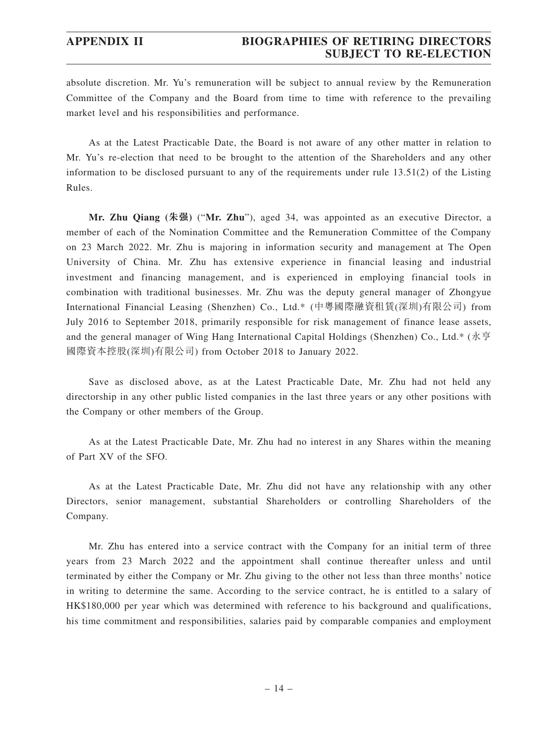absolute discretion. Mr. Yu's remuneration will be subject to annual review by the Remuneration Committee of the Company and the Board from time to time with reference to the prevailing market level and his responsibilities and performance.

As at the Latest Practicable Date, the Board is not aware of any other matter in relation to Mr. Yu's re-election that need to be brought to the attention of the Shareholders and any other information to be disclosed pursuant to any of the requirements under rule 13.51(2) of the Listing Rules.

**Mr. Zhu Qiang (朱强)** ("**Mr. Zhu**"), aged 34, was appointed as an executive Director, a member of each of the Nomination Committee and the Remuneration Committee of the Company on 23 March 2022. Mr. Zhu is majoring in information security and management at The Open University of China. Mr. Zhu has extensive experience in financial leasing and industrial investment and financing management, and is experienced in employing financial tools in combination with traditional businesses. Mr. Zhu was the deputy general manager of Zhongyue International Financial Leasing (Shenzhen) Co., Ltd.\* (中粵國際融資租賃(深圳)有限公司) from July 2016 to September 2018, primarily responsible for risk management of finance lease assets, and the general manager of Wing Hang International Capital Holdings (Shenzhen) Co., Ltd.\* (永亨 國際資本控股(深圳)有限公司) from October 2018 to January 2022.

Save as disclosed above, as at the Latest Practicable Date, Mr. Zhu had not held any directorship in any other public listed companies in the last three years or any other positions with the Company or other members of the Group.

As at the Latest Practicable Date, Mr. Zhu had no interest in any Shares within the meaning of Part XV of the SFO.

As at the Latest Practicable Date, Mr. Zhu did not have any relationship with any other Directors, senior management, substantial Shareholders or controlling Shareholders of the Company.

Mr. Zhu has entered into a service contract with the Company for an initial term of three years from 23 March 2022 and the appointment shall continue thereafter unless and until terminated by either the Company or Mr. Zhu giving to the other not less than three months' notice in writing to determine the same. According to the service contract, he is entitled to a salary of HK\$180,000 per year which was determined with reference to his background and qualifications, his time commitment and responsibilities, salaries paid by comparable companies and employment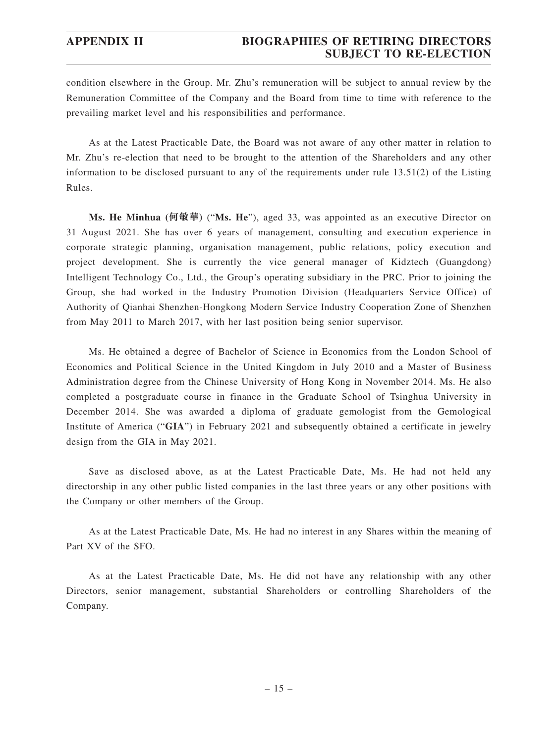condition elsewhere in the Group. Mr. Zhu's remuneration will be subject to annual review by the Remuneration Committee of the Company and the Board from time to time with reference to the prevailing market level and his responsibilities and performance.

As at the Latest Practicable Date, the Board was not aware of any other matter in relation to Mr. Zhu's re-election that need to be brought to the attention of the Shareholders and any other information to be disclosed pursuant to any of the requirements under rule 13.51(2) of the Listing Rules.

**Ms. He Minhua (何敏華)** ("**Ms. He**"), aged 33, was appointed as an executive Director on 31 August 2021. She has over 6 years of management, consulting and execution experience in corporate strategic planning, organisation management, public relations, policy execution and project development. She is currently the vice general manager of Kidztech (Guangdong) Intelligent Technology Co., Ltd., the Group's operating subsidiary in the PRC. Prior to joining the Group, she had worked in the Industry Promotion Division (Headquarters Service Office) of Authority of Qianhai Shenzhen-Hongkong Modern Service Industry Cooperation Zone of Shenzhen from May 2011 to March 2017, with her last position being senior supervisor.

Ms. He obtained a degree of Bachelor of Science in Economics from the London School of Economics and Political Science in the United Kingdom in July 2010 and a Master of Business Administration degree from the Chinese University of Hong Kong in November 2014. Ms. He also completed a postgraduate course in finance in the Graduate School of Tsinghua University in December 2014. She was awarded a diploma of graduate gemologist from the Gemological Institute of America ("**GIA**") in February 2021 and subsequently obtained a certificate in jewelry design from the GIA in May 2021.

Save as disclosed above, as at the Latest Practicable Date, Ms. He had not held any directorship in any other public listed companies in the last three years or any other positions with the Company or other members of the Group.

As at the Latest Practicable Date, Ms. He had no interest in any Shares within the meaning of Part XV of the SFO.

As at the Latest Practicable Date, Ms. He did not have any relationship with any other Directors, senior management, substantial Shareholders or controlling Shareholders of the Company.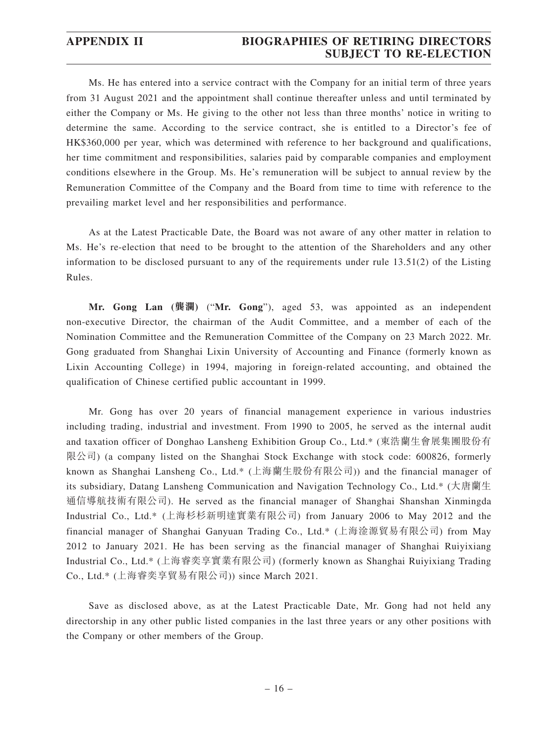Ms. He has entered into a service contract with the Company for an initial term of three years from 31 August 2021 and the appointment shall continue thereafter unless and until terminated by either the Company or Ms. He giving to the other not less than three months' notice in writing to determine the same. According to the service contract, she is entitled to a Director's fee of HK\$360,000 per year, which was determined with reference to her background and qualifications, her time commitment and responsibilities, salaries paid by comparable companies and employment conditions elsewhere in the Group. Ms. He's remuneration will be subject to annual review by the Remuneration Committee of the Company and the Board from time to time with reference to the prevailing market level and her responsibilities and performance.

As at the Latest Practicable Date, the Board was not aware of any other matter in relation to Ms. He's re-election that need to be brought to the attention of the Shareholders and any other information to be disclosed pursuant to any of the requirements under rule 13.51(2) of the Listing Rules.

**Mr. Gong Lan (龔瀾)** ("**Mr. Gong**"), aged 53, was appointed as an independent non-executive Director, the chairman of the Audit Committee, and a member of each of the Nomination Committee and the Remuneration Committee of the Company on 23 March 2022. Mr. Gong graduated from Shanghai Lixin University of Accounting and Finance (formerly known as Lixin Accounting College) in 1994, majoring in foreign-related accounting, and obtained the qualification of Chinese certified public accountant in 1999.

Mr. Gong has over 20 years of financial management experience in various industries including trading, industrial and investment. From 1990 to 2005, he served as the internal audit and taxation officer of Donghao Lansheng Exhibition Group Co., Ltd.\* (東浩蘭生會展集團股份有 限公司) (a company listed on the Shanghai Stock Exchange with stock code: 600826, formerly known as Shanghai Lansheng Co., Ltd.\* (上海蘭生股份有限公司)) and the financial manager of its subsidiary, Datang Lansheng Communication and Navigation Technology Co., Ltd.\* (大唐蘭生 通信導航技術有限公司). He served as the financial manager of Shanghai Shanshan Xinmingda Industrial Co., Ltd.\* (上海杉杉新明達實業有限公司) from January 2006 to May 2012 and the financial manager of Shanghai Ganyuan Trading Co., Ltd.\* (上海淦源貿易有限公司) from May 2012 to January 2021. He has been serving as the financial manager of Shanghai Ruiyixiang Industrial Co., Ltd.\* (上海睿奕享實業有限公司) (formerly known as Shanghai Ruiyixiang Trading Co., Ltd.\* (上海睿奕享貿易有限公司)) since March 2021.

Save as disclosed above, as at the Latest Practicable Date, Mr. Gong had not held any directorship in any other public listed companies in the last three years or any other positions with the Company or other members of the Group.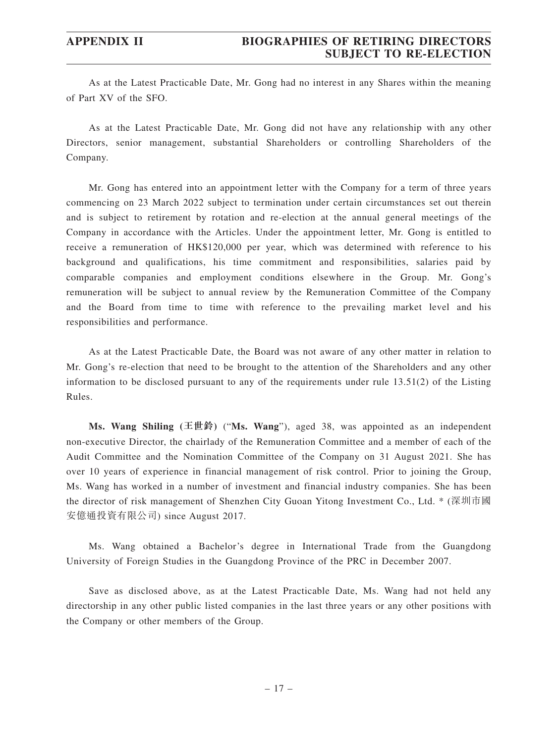As at the Latest Practicable Date, Mr. Gong had no interest in any Shares within the meaning of Part XV of the SFO.

As at the Latest Practicable Date, Mr. Gong did not have any relationship with any other Directors, senior management, substantial Shareholders or controlling Shareholders of the Company.

Mr. Gong has entered into an appointment letter with the Company for a term of three years commencing on 23 March 2022 subject to termination under certain circumstances set out therein and is subject to retirement by rotation and re-election at the annual general meetings of the Company in accordance with the Articles. Under the appointment letter, Mr. Gong is entitled to receive a remuneration of HK\$120,000 per year, which was determined with reference to his background and qualifications, his time commitment and responsibilities, salaries paid by comparable companies and employment conditions elsewhere in the Group. Mr. Gong's remuneration will be subject to annual review by the Remuneration Committee of the Company and the Board from time to time with reference to the prevailing market level and his responsibilities and performance.

As at the Latest Practicable Date, the Board was not aware of any other matter in relation to Mr. Gong's re-election that need to be brought to the attention of the Shareholders and any other information to be disclosed pursuant to any of the requirements under rule 13.51(2) of the Listing Rules.

**Ms. Wang Shiling (王世鈴)** ("**Ms. Wang**"), aged 38, was appointed as an independent non-executive Director, the chairlady of the Remuneration Committee and a member of each of the Audit Committee and the Nomination Committee of the Company on 31 August 2021. She has over 10 years of experience in financial management of risk control. Prior to joining the Group, Ms. Wang has worked in a number of investment and financial industry companies. She has been the director of risk management of Shenzhen City Guoan Yitong Investment Co., Ltd. \* (深圳市國 安億通投資有限公司) since August 2017.

Ms. Wang obtained a Bachelor's degree in International Trade from the Guangdong University of Foreign Studies in the Guangdong Province of the PRC in December 2007.

Save as disclosed above, as at the Latest Practicable Date, Ms. Wang had not held any directorship in any other public listed companies in the last three years or any other positions with the Company or other members of the Group.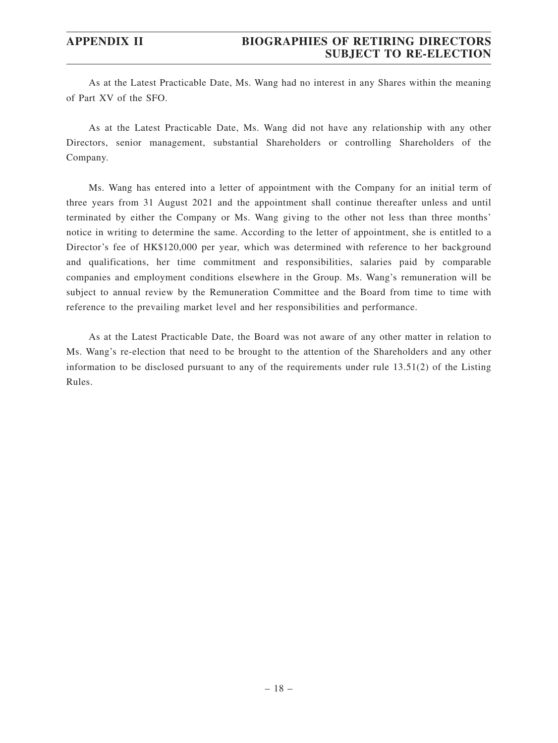As at the Latest Practicable Date, Ms. Wang had no interest in any Shares within the meaning of Part XV of the SFO.

As at the Latest Practicable Date, Ms. Wang did not have any relationship with any other Directors, senior management, substantial Shareholders or controlling Shareholders of the Company.

Ms. Wang has entered into a letter of appointment with the Company for an initial term of three years from 31 August 2021 and the appointment shall continue thereafter unless and until terminated by either the Company or Ms. Wang giving to the other not less than three months' notice in writing to determine the same. According to the letter of appointment, she is entitled to a Director's fee of HK\$120,000 per year, which was determined with reference to her background and qualifications, her time commitment and responsibilities, salaries paid by comparable companies and employment conditions elsewhere in the Group. Ms. Wang's remuneration will be subject to annual review by the Remuneration Committee and the Board from time to time with reference to the prevailing market level and her responsibilities and performance.

As at the Latest Practicable Date, the Board was not aware of any other matter in relation to Ms. Wang's re-election that need to be brought to the attention of the Shareholders and any other information to be disclosed pursuant to any of the requirements under rule 13.51(2) of the Listing Rules.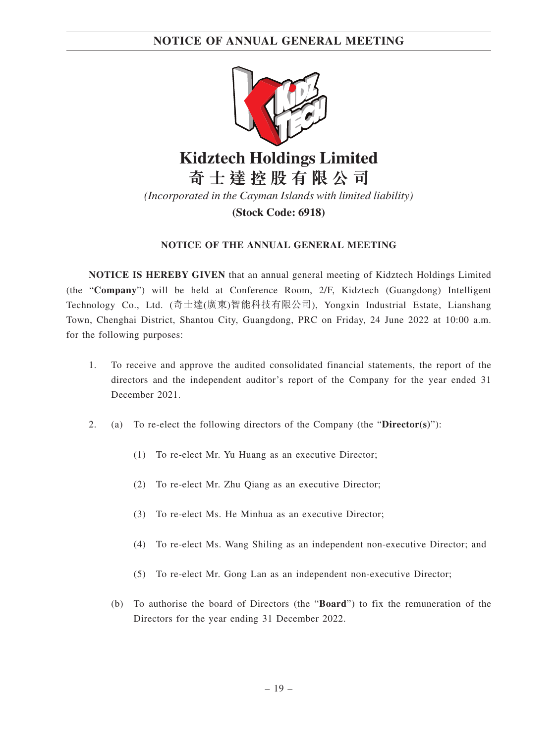

**Kidztech Holdings Limited 奇 士 達 控 股 有 限 公 司**

*(Incorporated in the Cayman Islands with limited liability)*

**(Stock Code: 6918)**

### **NOTICE OF THE ANNUAL GENERAL MEETING**

**NOTICE IS HEREBY GIVEN** that an annual general meeting of Kidztech Holdings Limited (the "**Company**") will be held at Conference Room, 2/F, Kidztech (Guangdong) Intelligent Technology Co., Ltd. (奇士達(廣東)智能科技有限公司), Yongxin Industrial Estate, Lianshang Town, Chenghai District, Shantou City, Guangdong, PRC on Friday, 24 June 2022 at 10:00 a.m. for the following purposes:

- 1. To receive and approve the audited consolidated financial statements, the report of the directors and the independent auditor's report of the Company for the year ended 31 December 2021.
- 2. (a) To re-elect the following directors of the Company (the "**Director(s)**"):
	- (1) To re-elect Mr. Yu Huang as an executive Director;
	- (2) To re-elect Mr. Zhu Qiang as an executive Director;
	- (3) To re-elect Ms. He Minhua as an executive Director;
	- (4) To re-elect Ms. Wang Shiling as an independent non-executive Director; and
	- (5) To re-elect Mr. Gong Lan as an independent non-executive Director;
	- (b) To authorise the board of Directors (the "**Board**") to fix the remuneration of the Directors for the year ending 31 December 2022.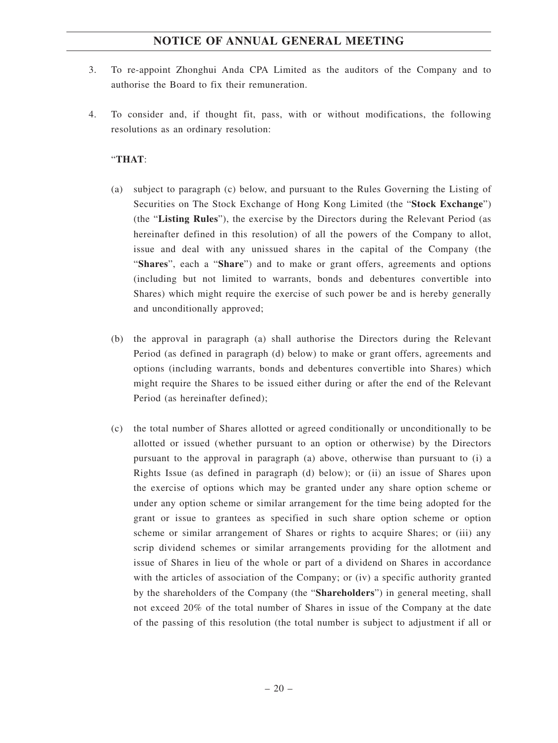- 3. To re-appoint Zhonghui Anda CPA Limited as the auditors of the Company and to authorise the Board to fix their remuneration.
- 4. To consider and, if thought fit, pass, with or without modifications, the following resolutions as an ordinary resolution:

### "**THAT**:

- (a) subject to paragraph (c) below, and pursuant to the Rules Governing the Listing of Securities on The Stock Exchange of Hong Kong Limited (the "**Stock Exchange**") (the "**Listing Rules**"), the exercise by the Directors during the Relevant Period (as hereinafter defined in this resolution) of all the powers of the Company to allot, issue and deal with any unissued shares in the capital of the Company (the "**Shares**", each a "**Share**") and to make or grant offers, agreements and options (including but not limited to warrants, bonds and debentures convertible into Shares) which might require the exercise of such power be and is hereby generally and unconditionally approved;
- (b) the approval in paragraph (a) shall authorise the Directors during the Relevant Period (as defined in paragraph (d) below) to make or grant offers, agreements and options (including warrants, bonds and debentures convertible into Shares) which might require the Shares to be issued either during or after the end of the Relevant Period (as hereinafter defined);
- (c) the total number of Shares allotted or agreed conditionally or unconditionally to be allotted or issued (whether pursuant to an option or otherwise) by the Directors pursuant to the approval in paragraph (a) above, otherwise than pursuant to (i) a Rights Issue (as defined in paragraph (d) below); or (ii) an issue of Shares upon the exercise of options which may be granted under any share option scheme or under any option scheme or similar arrangement for the time being adopted for the grant or issue to grantees as specified in such share option scheme or option scheme or similar arrangement of Shares or rights to acquire Shares; or (iii) any scrip dividend schemes or similar arrangements providing for the allotment and issue of Shares in lieu of the whole or part of a dividend on Shares in accordance with the articles of association of the Company; or (iv) a specific authority granted by the shareholders of the Company (the "**Shareholders**") in general meeting, shall not exceed 20% of the total number of Shares in issue of the Company at the date of the passing of this resolution (the total number is subject to adjustment if all or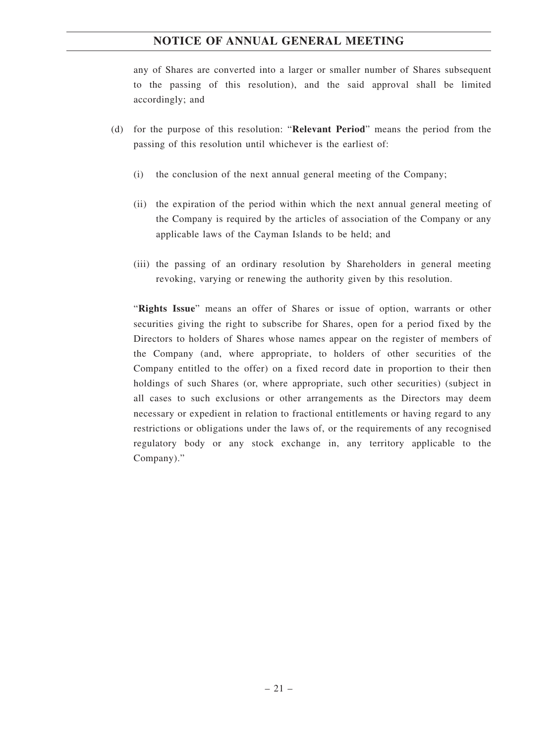any of Shares are converted into a larger or smaller number of Shares subsequent to the passing of this resolution), and the said approval shall be limited accordingly; and

- (d) for the purpose of this resolution: "**Relevant Period**" means the period from the passing of this resolution until whichever is the earliest of:
	- (i) the conclusion of the next annual general meeting of the Company;
	- (ii) the expiration of the period within which the next annual general meeting of the Company is required by the articles of association of the Company or any applicable laws of the Cayman Islands to be held; and
	- (iii) the passing of an ordinary resolution by Shareholders in general meeting revoking, varying or renewing the authority given by this resolution.

"**Rights Issue**" means an offer of Shares or issue of option, warrants or other securities giving the right to subscribe for Shares, open for a period fixed by the Directors to holders of Shares whose names appear on the register of members of the Company (and, where appropriate, to holders of other securities of the Company entitled to the offer) on a fixed record date in proportion to their then holdings of such Shares (or, where appropriate, such other securities) (subject in all cases to such exclusions or other arrangements as the Directors may deem necessary or expedient in relation to fractional entitlements or having regard to any restrictions or obligations under the laws of, or the requirements of any recognised regulatory body or any stock exchange in, any territory applicable to the Company)."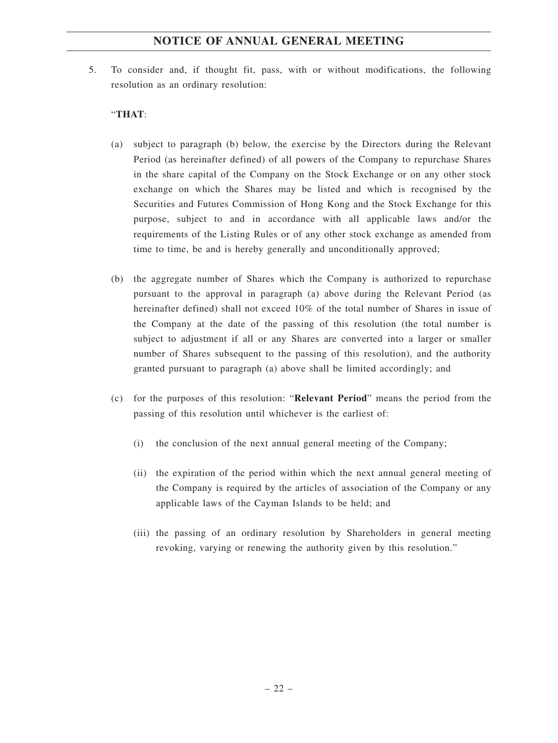5. To consider and, if thought fit, pass, with or without modifications, the following resolution as an ordinary resolution:

### "**THAT**:

- (a) subject to paragraph (b) below, the exercise by the Directors during the Relevant Period (as hereinafter defined) of all powers of the Company to repurchase Shares in the share capital of the Company on the Stock Exchange or on any other stock exchange on which the Shares may be listed and which is recognised by the Securities and Futures Commission of Hong Kong and the Stock Exchange for this purpose, subject to and in accordance with all applicable laws and/or the requirements of the Listing Rules or of any other stock exchange as amended from time to time, be and is hereby generally and unconditionally approved;
- (b) the aggregate number of Shares which the Company is authorized to repurchase pursuant to the approval in paragraph (a) above during the Relevant Period (as hereinafter defined) shall not exceed 10% of the total number of Shares in issue of the Company at the date of the passing of this resolution (the total number is subject to adjustment if all or any Shares are converted into a larger or smaller number of Shares subsequent to the passing of this resolution), and the authority granted pursuant to paragraph (a) above shall be limited accordingly; and
- (c) for the purposes of this resolution: "**Relevant Period**" means the period from the passing of this resolution until whichever is the earliest of:
	- (i) the conclusion of the next annual general meeting of the Company;
	- (ii) the expiration of the period within which the next annual general meeting of the Company is required by the articles of association of the Company or any applicable laws of the Cayman Islands to be held; and
	- (iii) the passing of an ordinary resolution by Shareholders in general meeting revoking, varying or renewing the authority given by this resolution."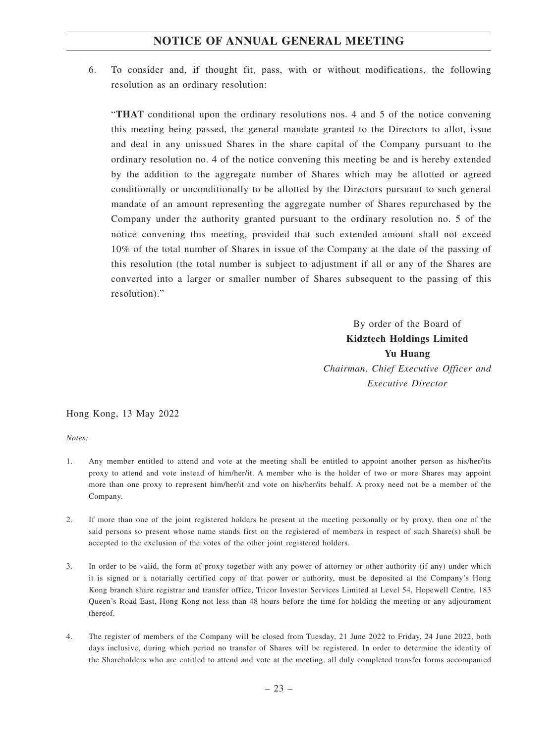6. To consider and, if thought fit, pass, with or without modifications, the following resolution as an ordinary resolution:

"**THAT** conditional upon the ordinary resolutions nos. 4 and 5 of the notice convening this meeting being passed, the general mandate granted to the Directors to allot, issue and deal in any unissued Shares in the share capital of the Company pursuant to the ordinary resolution no. 4 of the notice convening this meeting be and is hereby extended by the addition to the aggregate number of Shares which may be allotted or agreed conditionally or unconditionally to be allotted by the Directors pursuant to such general mandate of an amount representing the aggregate number of Shares repurchased by the Company under the authority granted pursuant to the ordinary resolution no. 5 of the notice convening this meeting, provided that such extended amount shall not exceed 10% of the total number of Shares in issue of the Company at the date of the passing of this resolution (the total number is subject to adjustment if all or any of the Shares are converted into a larger or smaller number of Shares subsequent to the passing of this resolution)."

> By order of the Board of **Kidztech Holdings Limited Yu Huang** *Chairman, Chief Executive Officer and Executive Director*

Hong Kong, 13 May 2022

*Notes:*

- 1. Any member entitled to attend and vote at the meeting shall be entitled to appoint another person as his/her/its proxy to attend and vote instead of him/her/it. A member who is the holder of two or more Shares may appoint more than one proxy to represent him/her/it and vote on his/her/its behalf. A proxy need not be a member of the Company.
- 2. If more than one of the joint registered holders be present at the meeting personally or by proxy, then one of the said persons so present whose name stands first on the registered of members in respect of such Share(s) shall be accepted to the exclusion of the votes of the other joint registered holders.
- 3. In order to be valid, the form of proxy together with any power of attorney or other authority (if any) under which it is signed or a notarially certified copy of that power or authority, must be deposited at the Company's Hong Kong branch share registrar and transfer office, Tricor Investor Services Limited at Level 54, Hopewell Centre, 183 Queen's Road East, Hong Kong not less than 48 hours before the time for holding the meeting or any adjournment thereof.
- 4. The register of members of the Company will be closed from Tuesday, 21 June 2022 to Friday, 24 June 2022, both days inclusive, during which period no transfer of Shares will be registered. In order to determine the identity of the Shareholders who are entitled to attend and vote at the meeting, all duly completed transfer forms accompanied